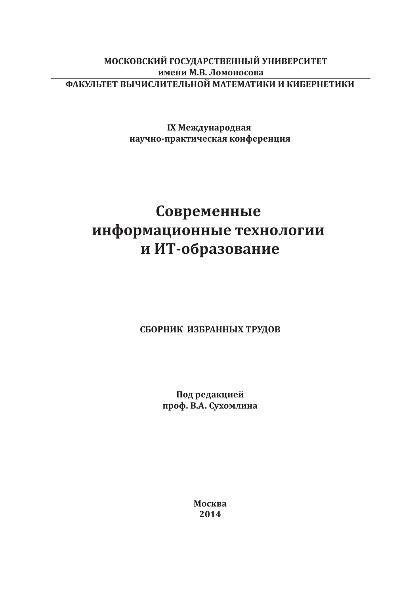# МОСКОВСКИЙ ГОСУДАРСТВЕННЫЙ УНИВЕРСИТЕТ имени М.В. Ломоносова ФАКУЛЬТЕТ ВЫЧИСЛИТЕЛЬНОЙ МАТЕМАТИКИ И КИБЕРНЕТИКИ

IX Международная научно-практическая конференция

# Современные информационные технологии и ИТ-образование

## СБОРНИК ИЗБРАННЫХ ТРУДОВ

Под редакцией проф. В.А. Сухомлина

> Москва 2014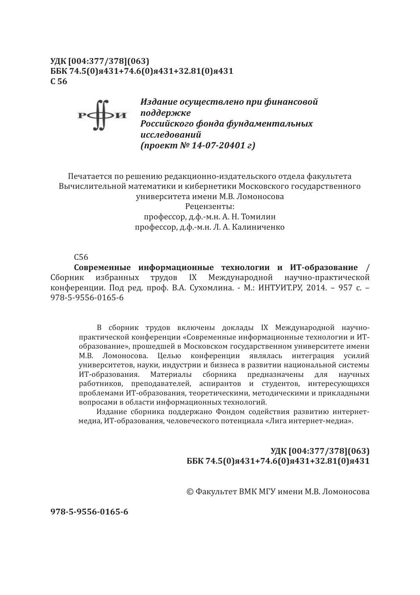### УДК [004:377/378] (063) ББК 74.5(0)я431+74.6(0)я431+32.81(0)я431  $C<sub>56</sub>$

Издание осуществлено при финансовой **Ви поддержке**<br>Российского фонда фундаментальных исследований  $(n\nu e\nk\nW<sub>2</sub> 14-07-20401 z)$ 

Печатается по решению редакционно-издательского отдела факультета Вычислительной математики и кибернетики Московского государственного университета имени М.В. Ломоносова Ренензенты: профессор, д.ф.-м.н. А. Н. Томилин профессор, д.ф.-м.н. Л. А. Калиниченко

 $C<sub>56</sub>$ 

Современные информационные технологии и ИТ-образование / избранных трудов IX Международной научно-практической Сборник конференции. Под ред. проф. В.А. Сухомлина. - М.: ИНТУИТ.РУ, 2014. - 957 с. -978-5-9556-0165-6

В сборник трудов включены доклады IX Международной научнопрактической конференции «Современные информационные технологии и ИТобразование», прошедшей в Московском государственном университете имени М.В. Ломоносова. Целью конференции являлась интеграция усилий университетов, науки, индустрии и бизнеса в развитии национальной системы ИТ-образования. Материалы сборника предназначены для научных работников, преподавателей, аспирантов и студентов, интересующихся проблемами ИТ-образования, теоретическими, методическими и прикладными вопросами в области информационных технологий.

Издание сборника поддержано Фондом содействия развитию интернетмедиа, ИТ-образования, человеческого потенциала «Лига интернет-медиа».

## УДК [004:377/378] (063) ББК 74.5(0)я431+74.6(0)я431+32.81(0)я431

© Факультет ВМК МГУ имени М.В. Ломоносова

978-5-9556-0165-6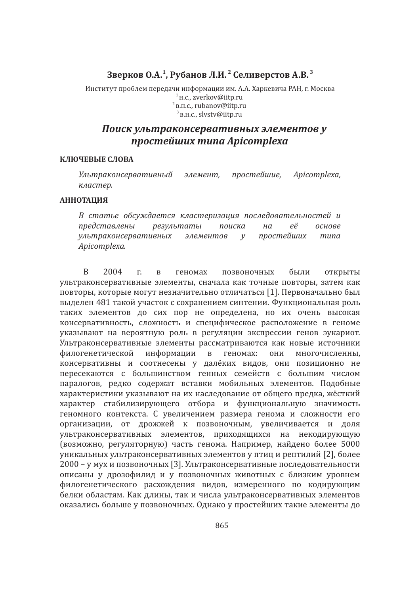## Зверков О.А.<sup>1</sup>, Рубанов Л.И.<sup>2</sup> Селиверстов А.В.<sup>3</sup>

Институт проблем передачи информации им. А.А. Харкевича РАН, г. Москва <sub>H.C.</sub>, zverkov@iitp.ru <sub>B.H.C.</sub>, rubanov@iitp.ru <sub>B.H.C.</sub>, slvstv@iitp.ru

# Поиск ультраконсервативных элементов у npocmeŭwux muna Apicomplexa

#### КЛЮЧЕВЫЕ СЛОВА

Ультраконсервативный элемент, простейшие, Apicomplexa, кластер.

#### **АННОТАЦИЯ**

В статье обсуждается кластеризация последовательностей и представлены результаты поиска  $HQ$ eë основе ультраконсервативных элементов простейших muna  $V$ Apicomplexa.

 $\overline{R}$ 2004 были  $\Gamma$ .  $\bf{B}$ геномах позвоночных открыты ультраконсервативные элементы, сначала как точные повторы, затем как повторы, которые могут незначительно отличаться [1]. Первоначально был выделен 481 такой участок с сохранением синтении. Функциональная роль таких элементов до сих пор не определена, но их очень высокая консервативность, сложность и специфическое расположение в геноме указывают на вероятную роль в регуляции экспрессии генов эукариот. Ультраконсервативные элементы рассматриваются как новые источники филогенетической информации  $\overline{B}$ геномах: они многочисленны, консервативны и соотнесены у далёких видов, они позиционно не пересекаются с большинством генных семейств с большим числом паралогов, редко содержат вставки мобильных элементов. Подобные характеристики указывают на их наследование от общего предка, жёсткий характер стабилизирующего отбора и функциональную значимость геномного контекста. С увеличением размера генома и сложности его организации, от дрожжей к позвоночным, увеличивается и доля ультраконсервативных элементов, приходящихся на некодирующую (возможно, регуляторную) часть генома. Например, найдено более 5000 уникальных ультраконсервативных элементов у птиц и рептилий [2], более 2000 - у мух и позвоночных [3]. Ультраконсервативные последовательности описаны у дрозофилид и у позвоночных животных с близким уровнем филогенетического расхождения видов, измеренного по кодирующим белки областям. Как длины, так и числа ультраконсервативных элементов оказались больше у позвоночных. Однако у простейших такие элементы до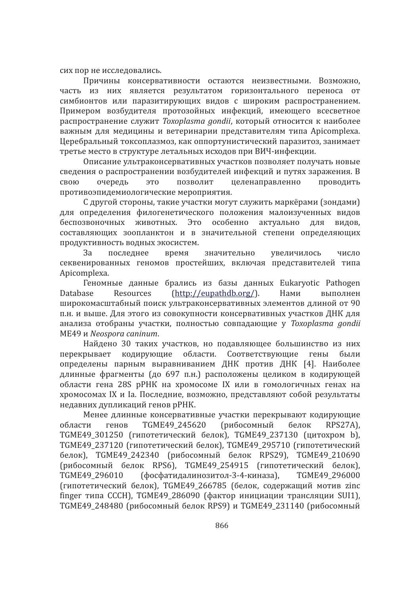сих пор не исследовались.

Причины консервативности остаются неизвестными. Возможно, часть из них является результатом горизонтального переноса от симбионтов или паразитирующих видов с широким распространением. Примером возбудителя протозойных инфекций, имеющего всесветное распространение служит Toxoplasma gondii, который относится к наиболее важным для медицины и ветеринарии представителям типа Apicomplexa. Церебральный токсоплазмоз, как оппортунистический паразитоз, занимает третье место в структуре летальных исходов при ВИЧ-инфекции.

Описание ультраконсервативных участков позволяет получать новые сведения о распространении возбудителей инфекций и путях заражения. В позволит целенаправленно очередь ЭТО проводить свою противоэпидемиологические мероприятия.

С другой стороны, такие участки могут служить маркёрами (зондами) для определения филогенетического положения малоизученных видов беспозвоночных животных. Это особенно актуально лля вилов. составляющих зоопланктон и в значительной степени определяющих продуктивность водных экосистем.

последнее время значительно увеличилось  $3a$ число секвенированных геномов простейших, включая представителей типа Apicomplexa.

Геномные данные брались из базы данных Eukaryotic Pathogen  $(http://eupathdb.org/).$ Нами **Database** Resources выполнен широкомасштабный поиск ультраконсервативных элементов длиной от 90 п.н. и выше. Для этого из совокупности консервативных участков ДНК для анализа отобраны участки, полностью совпадающие у Toxoplasma gondii ME49 и Neospora caninum.

Найдено 30 таких участков, но подавляющее большинство из них перекрывает кодирующие области. Соответствующие гены были определены парным выравниванием ДНК против ДНК [4]. Наиболее длинные фрагменты (до 697 п.н.) расположены целиком в кодирующей области гена 28S рРНК на хромосоме IX или в гомологичных генах на хромосомах IX и Ia. Последние, возможно, представляют собой результаты недавних дупликаций генов рРНК.

Менее длинные консервативные участки перекрывают кодирующие генов TGME49 245620 (рибосомный белок области RPS27A). ТСМЕ49\_301250 (гипотетический белок), ТСМЕ49\_237130 (цитохром b), ТСМЕ49 237120 (гипотетический белок). ТСМЕ49 295710 (гипотетический белок), TGME49 242340 (рибосомный белок RPS29), TGME49 210690 (рибосомный белок RPS6), TGME49 254915 (гипотетический белок), (фосфатидалинозитол-3-4-киназа), TGME49 296000 TGME49 296010 (гипотетический белок), TGME49 266785 (белок, содержащий мотив zinc finger типа СССН), TGME49\_286090 (фактор инициации трансляции SUI1), ТGME49\_248480 (рибосомный белок RPS9) и TGME49\_231140 (рибосомный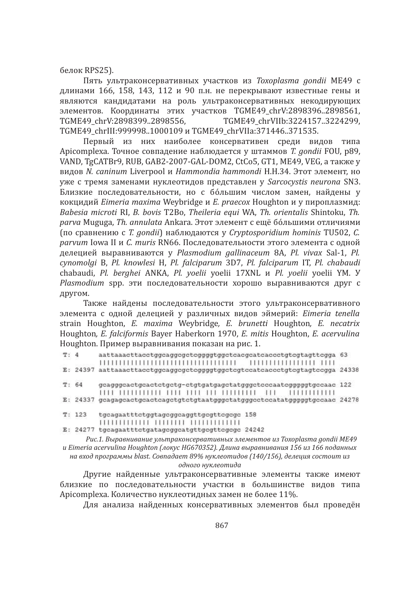белок RPS25).

Пять ультраконсервативных участков из Toxoplasma gondii ME49 с длинами 166, 158, 143, 112 и 90 п.н. не перекрывают известные гены и являются кандидатами на роль ультраконсервативных некодирующих элементов. Координаты этих участков TGME49\_chrV:2898396..2898561, TGME49\_chrVIIb:3224157..3224299. TGME49 chrV:2898399..2898556. ТGME49 chrIII:999998..1000109 и ТGME49 chrVIIa:371446..371535.

Первый из них наиболее консервативен среди видов типа Apicomplexa. Точное совпадение наблюдается у штаммов T. gondii FOU, p89, VAND, TgCATBr9, RUB, GAB2-2007-GAL-DOM2, CtCo5, GT1, ME49, VEG, a также у видов N. caninum Liverpool и Hammondia hammondi H.H.34. Этот элемент, но уже с тремя заменами нуклеотидов представлен у Sarcocystis neurona SN3. Близкие последовательности, но с бо́льшим числом замен, найдены у кокцидий Eimeria maxima Weybridge и E. praecox Houghton и у пироплазмид: Babesia microti RI, B. bovis T2Bo, Theileria equi WA, Th. orientalis Shintoku, Th. parva Muguga, Th. annulata Ankara. Этот элемент с ещё бо́льшими отличиями (по сравнению с T. gondii) наблюдаются у Cryptosporidium hominis TU502, C. parvum Iowa II и C. muris RN66. Последовательности этого элемента с одной делецией выравниваются у Plasmodium gallinaceum 8A, Pl. vivax Sal-1, Pl. cynomolgi B, Pl. knowlesi H, Pl. falciparum 3D7, Pl. falciparum IT, Pl. chabaudi chabaudi, Pl. berghei ANKA, Pl. yoelii yoelii 17XNL u Pl. yoelii yoelii YM. Y Plasmodium spp. эти последовательности хорошо выравниваются друг с другом.

Также найдены последовательности этого ультраконсервативного элемента с одной делецией у различных видов эймерий: Eimeria tenella strain Houghton, E. maxima Weybridge, E. brunetti Houghton, E. necatrix Houghton, E. falciformis Bayer Haberkorn 1970, E. mitis Houghton, E. acervulina Houghton. Пример выравнивания показан на рис. 1.

| T: 4  |          | aattaaacttacctggcaggcgctcggggtggctcacgcatcaccctgtcgtagttcgga 63                    |  |  |
|-------|----------|------------------------------------------------------------------------------------|--|--|
|       | E: 24397 | aattaaacttacctggcaggcgctcggggtggctcgtccatcaccctgtcgtagtccgga 24338                 |  |  |
| T: 64 |          | gcagggcactgcactctgctg-ctgtgatgagctatgggctcccaatcgggggtgccaac 122<br>1111111111111  |  |  |
|       | E: 24337 | gcagagcactgcactcagctgtctgtaatgggctatgggcctccatatgggggtgccaac 24278                 |  |  |
|       | T: 123   | tgcagaatttctggtagcggcaggttgcgttcgcgc 158<br>1111111111111 111111111 11111111111111 |  |  |
|       | E: 24277 | tgcagaatttctgatagcggcatgttgcgttcgcgc 24242                                         |  |  |

Рис.1. Выравнивание ультраконсервативных элементов из Toxoplasma gondii ME49 и Eimeria acervulina Houghton (локус HG670352). Длина выравнивания 156 из 166 поданных на вход программы blast. Совпадает 89% нуклеотидов (140/156), делеция состоит из одного нуклеотида

Другие найденные ультраконсервативные элементы также имеют близкие по последовательности участки в большинстве видов типа Apicomplexa. Количество нуклеотидных замен не более 11%.

Для анализа найденных консервативных элементов был проведён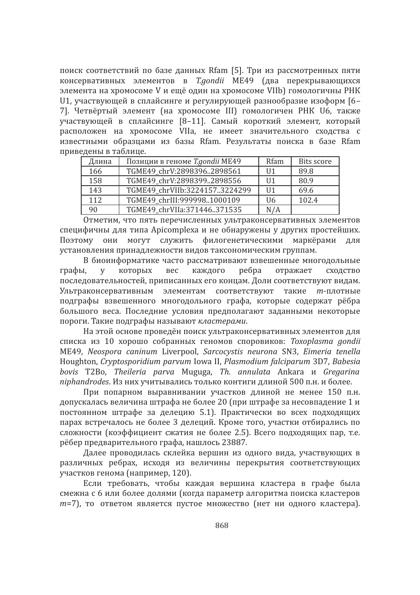поиск соответствий по базе данных Rfam [5]. Три из рассмотренных пяти консервативных элементов в T.gondii ME49 (два перекрывающихся элемента на хромосоме V и ещё один на хромосоме VIIb) гомологичны РНК U1, участвующей в сплайсинге и регулирующей разнообразие изоформ [6-7]. Четвёртый элемент (на хромосоме III) гомологичен РНК U6, также участвующей в сплайсинге [8-11]. Самый короткий элемент, который расположен на хромосоме VIIa, не имеет значительного сходства с известными образцами из базы Rfam. Результаты поиска в базе Rfam приведены в таблице.

| Длина | Позиции в геноме T.gondii ME49 | Rfam           | <b>Bits score</b> |
|-------|--------------------------------|----------------|-------------------|
| 166   | TGME49_chrV:28983962898561     | II1            | 89.8              |
| 158   | TGME49_chrV:28983992898556     | II1            | 80.9              |
| 143   | TGME49_chrVIIb:32241573224299  | II1            | 69.6              |
| 112   | TGME49 chrIII:9999981000109    | U <sub>6</sub> | 102.4             |
| 90    | TGME49_chrVIIa:371446371535    | N/A            |                   |

Отметим, что пять перечисленных ультраконсервативных элементов специфичны для типа Apicomplexa и не обнаружены у других простейших. Поэтому они могут служить филогенетическими маркёрами для установления принадлежности видов таксономическим группам.

В биоинформатике часто рассматривают взвешенные многодольные которых **Bec** каждого ребра отражает графы,  $\overline{V}$ сходство последовательностей, приписанных его концам. Доли соответствуют видам. Ультраконсервативным элементам соответствуют такие т-плотные подграфы взвешенного многодольного графа, которые содержат рёбра большого веса. Последние условия предполагают заданными некоторые пороги. Такие подграфы называют кластерами.

На этой основе проведён поиск ультраконсервативных элементов для списка из 10 хорошо собранных геномов споровиков: Toxoplasma gondii ME49, Neospora caninum Liverpool, Sarcocystis neurona SN3, Eimeria tenella Houghton, Cryptosporidium parvum Iowa II, Plasmodium falciparum 3D7, Babesia bovis T2Bo, Theileria parva Muguga, Th. annulata Ankara u Gregarina niphandrodes. Из них учитывались только контиги длиной 500 п.н. и более.

При попарном выравнивании участков длиной не менее 150 п.н. допускалась величина штрафа не более 20 (при штрафе за несовпадение 1 и постоянном штрафе за делецию 5.1). Практически во всех подходящих парах встречалось не более 3 делеций. Кроме того, участки отбирались по сложности (коэффициент сжатия не более 2.5). Всего подходящих пар, т.е. рёбер предварительного графа, нашлось 23887.

Далее проводилась склейка вершин из одного вида, участвующих в различных ребрах, исходя из величины перекрытия соответствующих участков генома (например, 120).

Если требовать, чтобы каждая вершина кластера в графе была смежна с 6 или более долями (когда параметр алгоритма поиска кластеров т=7), то ответом является пустое множество (нет ни одного кластера).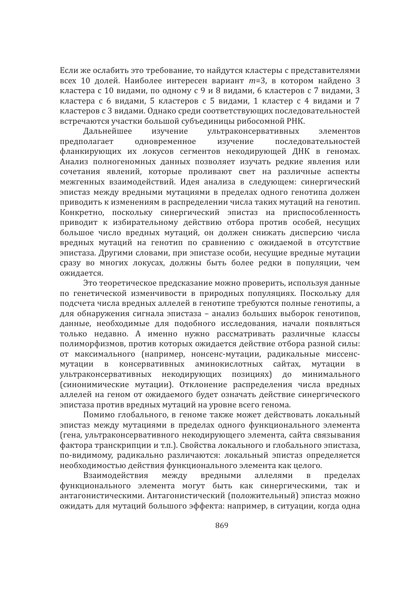Если же ослабить это требование, то найдутся кластеры с представителями всех 10 долей. Наиболее интересен вариант т=3, в котором найдено 3 кластера с 10 видами, по одному с 9 и 8 видами, 6 кластеров с 7 видами, 3 кластера с 6 видами, 5 кластеров с 5 видами, 1 кластер с 4 видами и 7 кластеров с 3 видами. Однако среди соответствующих последовательностей встречаются участки большой субъединицы рибосомной РНК.

Дальнейшее изучение ультраконсервативных элементов предполагает одновременное изучение последовательностей фланкирующих их локусов сегментов некодирующей ДНК в геномах. Анализ полногеномных данных позволяет изучать редкие явления или сочетания явлений, которые проливают свет на различные аспекты межгенных взаимодействий. Идея анализа в следующем: синергический эпистаз между вредными мутациями в пределах одного генотипа должен приводить к изменениям в распределении числа таких мутаций на генотип. Конкретно, поскольку синергический эпистаз на приспособленность приводит к избирательному действию отбора против особей, несущих большое число вредных мутаций, он должен снижать дисперсию числа вредных мутаций на генотип по сравнению с ожидаемой в отсутствие эпистаза. Другими словами, при эпистазе особи, несущие вредные мутации сразу во многих локусах, должны быть более редки в популяции, чем ожидается.

Это теоретическое предсказание можно проверить, используя данные по генетической изменчивости в природных популяциях. Поскольку для подсчета числа вредных аллелей в генотипе требуются полные генотипы, а для обнаружения сигнала эпистаза - анализ больших выборок генотипов. данные, необходимые для подобного исследования, начали появляться только недавно. А именно нужно рассматривать различные классы полиморфизмов, против которых ожидается действие отбора разной силы: от максимального (например, нонсенс-мутации, радикальные миссенсконсервативных аминокислотных сайтах. мутации  $\mathbf{B}$ мутации  $\mathbf{B}$ ультраконсервативных некодирующих позициях) до минимального (синонимические мутации). Отклонение распределения числа вредных аллелей на геном от ожидаемого будет означать действие синергического эпистаза против вредных мутаций на уровне всего генома.

Помимо глобального, в геноме также может действовать локальный эпистаз между мутациями в пределах одного функционального элемента (гена, ультраконсервативного некодирующего элемента, сайта связывания фактора транскрипции и т.п.). Свойства локального и глобального эпистаза. по-видимому, радикально различаются: локальный эпистаз определяется необходимостью действия функционального элемента как целого.

Взаимодействия между вредными аллелями  $\overline{B}$ пределах функционального элемента могут быть как синергическими, так и антагонистическими. Антагонистический (положительный) эпистаз можно ожидать для мутаций большого эффекта: например, в ситуации, когда одна